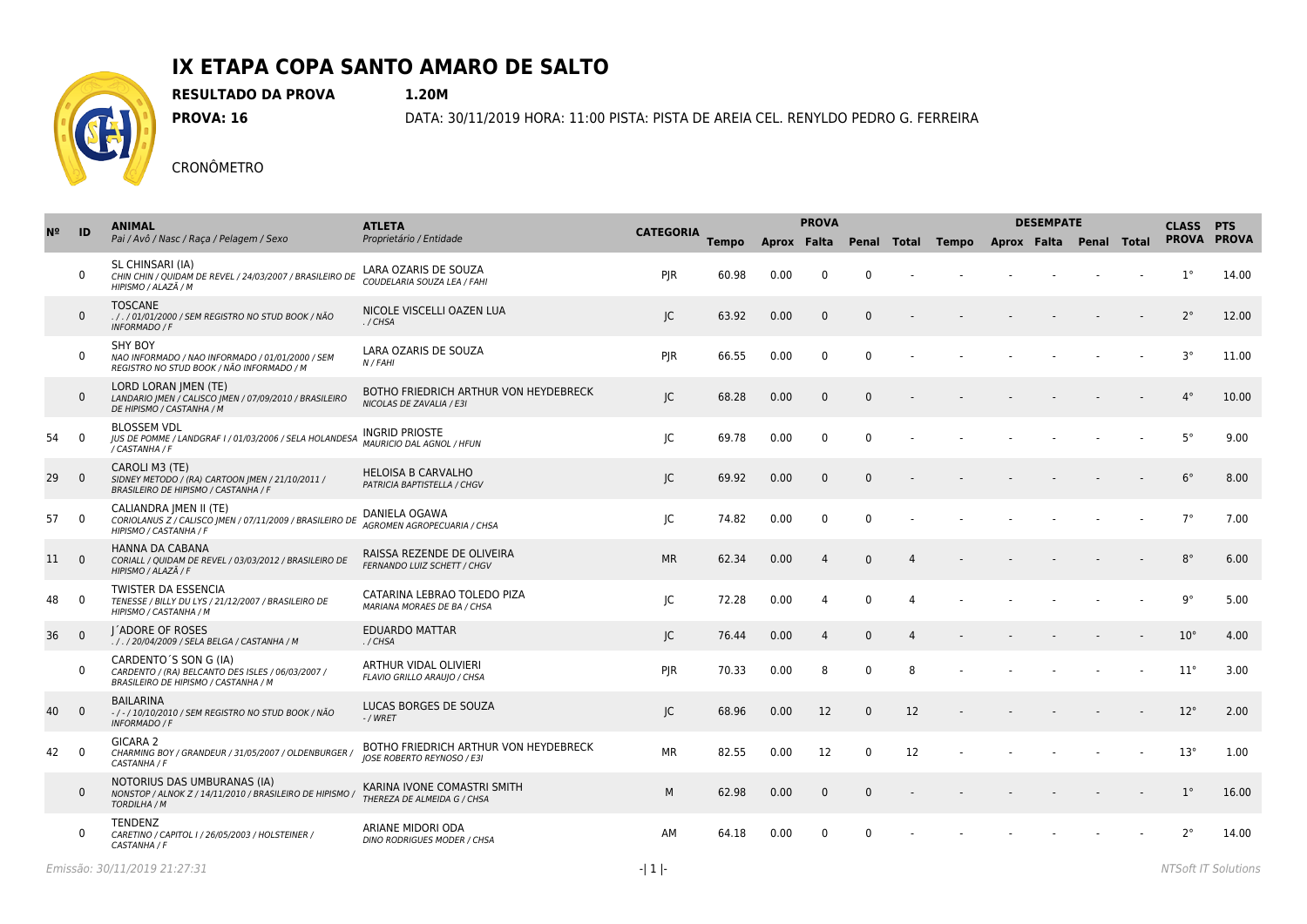

**RESULTADO DA PROVA 1.20M**

**PROVA: 16** DATA: 30/11/2019 HORA: 11:00 PISTA: PISTA DE AREIA CEL. RENYLDO PEDRO G. FERREIRA

|    | ID             | <b>ANIMAL</b>                                                                                                      | <b>ATLETA</b>                                                              | <b>CATEGORIA</b> |              | <b>PROVA</b> |                |              |    |       | <b>DESEMPATE</b>        | <b>CLASS</b> | <b>PTS</b> |              |       |
|----|----------------|--------------------------------------------------------------------------------------------------------------------|----------------------------------------------------------------------------|------------------|--------------|--------------|----------------|--------------|----|-------|-------------------------|--------------|------------|--------------|-------|
|    |                | Pai / Avô / Nasc / Raça / Pelagem / Sexo                                                                           | Proprietário / Entidade                                                    |                  | <b>Tempo</b> | Aprox Falta  |                | Penal Total  |    | Tempo | Aprox Falta Penal Total |              |            | PROVA PROVA  |       |
|    | $\mathbf 0$    | SL CHINSARI (IA)<br>CHIN CHIN / QUIDAM DE REVEL / 24/03/2007 / BRASILEIRO DE<br>HIPISMO / ALAZÃ / M                | LARA OZARIS DE SOUZA<br>COUDELARIA SOUZA LEA / FAHI                        | PJR              | 60.98        | 0.00         | $\Omega$       | $\Omega$     |    |       |                         |              |            | $1^{\circ}$  | 14.00 |
|    | $\mathbf{0}$   | <b>TOSCANE</b><br>././01/01/2000 / SEM REGISTRO NO STUD BOOK / NÃO<br><b>INFORMADO / F</b>                         | NICOLE VISCELLI OAZEN LUA<br>./CHSA                                        | JC               | 63.92        | 0.00         | $\Omega$       | $\mathbf{0}$ |    |       |                         |              |            | $2^{\circ}$  | 12.00 |
|    | $\mathbf 0$    | <b>SHY BOY</b><br>NAO INFORMADO / NAO INFORMADO / 01/01/2000 / SEM<br>REGISTRO NO STUD BOOK / NÃO INFORMADO / M    | LARA OZARIS DE SOUZA<br>N / FAHI                                           | PJR              | 66.55        | 0.00         | $\mathbf 0$    | $\Omega$     |    |       |                         |              |            | $3^{\circ}$  | 11.00 |
|    | $\mathbf 0$    | LORD LORAN JMEN (TE)<br>LANDARIO JMEN / CALISCO JMEN / 07/09/2010 / BRASILEIRO<br>DE HIPISMO / CASTANHA / M        | BOTHO FRIEDRICH ARTHUR VON HEYDEBRECK<br>NICOLAS DE ZAVALIA / E3I          | JC               | 68.28        | 0.00         | $\mathbf{0}$   | $\mathbf{0}$ |    |       |                         |              |            | $4^{\circ}$  | 10.00 |
| 54 | $\mathbf 0$    | <b>BLOSSEM VDL</b><br>JUS DE POMME / LANDGRAF I / 01/03/2006 / SELA HOLANDESA<br>/ CASTANHA / F                    | <b>INGRID PRIOSTE</b><br><b>MAURICIO DAL AGNOL / HFUN</b>                  | JC               | 69.78        | 0.00         | $\mathbf{0}$   | $\Omega$     |    |       |                         |              |            | $5^{\circ}$  | 9.00  |
| 29 | $\overline{0}$ | CAROLI M3 (TE)<br>SIDNEY METODO / (RA) CARTOON   MEN / 21/10/2011 /<br>BRASILEIRO DE HIPISMO / CASTANHA / F        | <b>HELOISA B CARVALHO</b><br>PATRICIA BAPTISTELLA / CHGV                   | JC               | 69.92        | 0.00         | $\mathbf{0}$   | $\Omega$     |    |       |                         |              |            | $6^{\circ}$  | 8.00  |
| 57 | $\overline{0}$ | CALIANDRA JMEN II (TE)<br>CORIOLANUS Z / CALISCO   MEN / 07/11/2009 / BRASILEIRO DE<br>HIPISMO / CASTANHA / F      | DANIELA OGAWA<br>AGROMEN AGROPECUARIA / CHSA                               | JC               | 74.82        | 0.00         | 0              | $\mathbf{0}$ |    |       |                         |              |            | $7^{\circ}$  | 7.00  |
| 11 | $\overline{0}$ | <b>HANNA DA CABANA</b><br>CORIALL / QUIDAM DE REVEL / 03/03/2012 / BRASILEIRO DE<br>HIPISMO / ALAZÃ / F            | RAISSA REZENDE DE OLIVEIRA<br>FERNANDO LUIZ SCHETT / CHGV                  | <b>MR</b>        | 62.34        | 0.00         | $\overline{4}$ | $\Omega$     |    |       |                         |              |            | $8^{\circ}$  | 6.00  |
| 48 | $\mathbf 0$    | <b>TWISTER DA ESSENCIA</b><br>TENESSE / BILLY DU LYS / 21/12/2007 / BRASILEIRO DE<br>HIPISMO / CASTANHA / M        | CATARINA LEBRAO TOLEDO PIZA<br>MARIANA MORAES DE BA / CHSA                 | IC               | 72.28        | 0.00         | 4              | $\Omega$     | 4  |       |                         |              |            | $9^{\circ}$  | 5.00  |
| 36 | $\overline{0}$ | I ADORE OF ROSES<br>././20/04/2009 / SELA BELGA / CASTANHA / M                                                     | <b>EDUARDO MATTAR</b><br>./CHSA                                            | JC               | 76.44        | 0.00         | 4              | $\mathbf 0$  | 4  |       |                         |              |            | $10^{\circ}$ | 4.00  |
|    | $\mathbf 0$    | CARDENTO'S SON G (IA)<br>CARDENTO / (RA) BELCANTO DES ISLES / 06/03/2007 /<br>BRASILEIRO DE HIPISMO / CASTANHA / M | ARTHUR VIDAL OLIVIERI<br>FLAVIO GRILLO ARAUJO / CHSA                       | <b>PJR</b>       | 70.33        | 0.00         | 8              | $\Omega$     | 8  |       |                         |              |            | $11^{\circ}$ | 3.00  |
| 40 | $\overline{0}$ | <b>BAILARINA</b><br>-/-/10/10/2010 / SEM REGISTRO NO STUD BOOK / NÃO<br><b>INFORMADO / F</b>                       | LUCAS BORGES DE SOUZA<br>$-$ / WRET                                        | JC               | 68.96        | 0.00         | 12             | $\Omega$     | 12 |       |                         |              |            | $12^{\circ}$ | 2.00  |
| 42 | $\Omega$       | GICARA 2<br>CHARMING BOY / GRANDEUR / 31/05/2007 / OLDENBURGER<br>CASTANHA / F                                     | BOTHO FRIEDRICH ARTHUR VON HEYDEBRECK<br><b>JOSE ROBERTO REYNOSO / E3I</b> | <b>MR</b>        | 82.55        | 0.00         | 12             | $\Omega$     | 12 |       |                         |              |            | $13^{\circ}$ | 1.00  |
|    | $\mathbf 0$    | NOTORIUS DAS UMBURANAS (IA)<br>NONSTOP / ALNOK Z / 14/11/2010 / BRASILEIRO DE HIPISMO<br><b>TORDILHA / M</b>       | KARINA IVONE COMASTRI SMITH<br>THEREZA DE ALMEIDA G / CHSA                 | M                | 62.98        | 0.00         | $\mathbf 0$    | $\mathbf{0}$ |    |       |                         |              |            | $1^{\circ}$  | 16.00 |
|    | $\mathbf{0}$   | TENDENZ<br>CARETINO / CAPITOL I / 26/05/2003 / HOLSTEINER /<br>CASTANHA / F                                        | ARIANE MIDORI ODA<br>DINO RODRIGUES MODER / CHSA                           | AM               | 64.18        | 0.00         | $\mathbf{0}$   | $\Omega$     |    |       |                         |              |            | $2^{\circ}$  | 14.00 |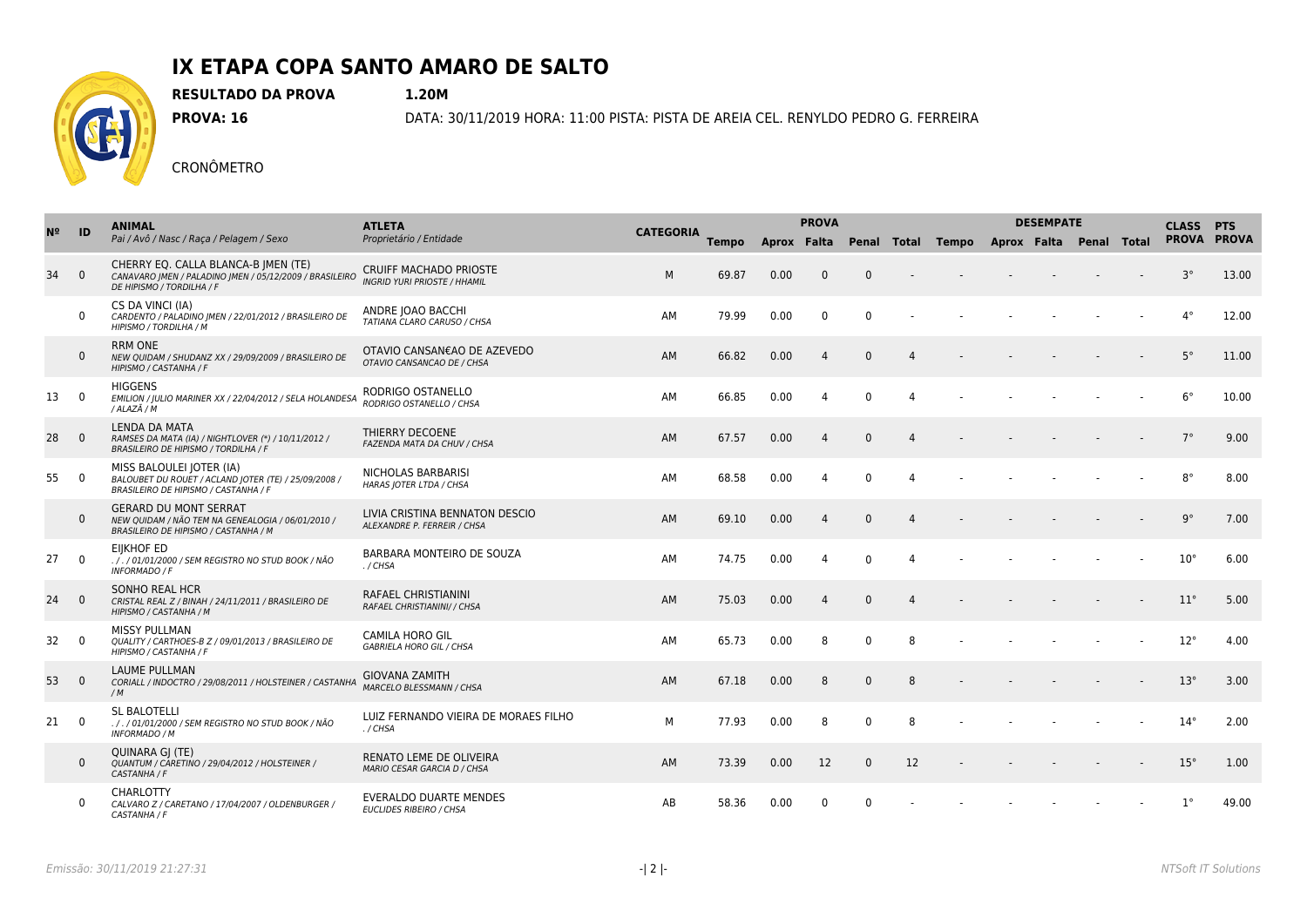

**RESULTADO DA PROVA 1.20M**

**PROVA: 16** DATA: 30/11/2019 HORA: 11:00 PISTA: PISTA DE AREIA CEL. RENYLDO PEDRO G. FERREIRA

| N <sup>2</sup> |                | <b>ANIMAL</b><br>Pai / Avô / Nasc / Raça / Pelagem / Sexo                                                                    | <b>ATLETA</b><br>Proprietário / Entidade                             |                  |              | <b>PROVA</b> |                |              |                |                                                       | <b>DESEMPATE</b> | <b>CLASS PTS</b> |  |              |             |
|----------------|----------------|------------------------------------------------------------------------------------------------------------------------------|----------------------------------------------------------------------|------------------|--------------|--------------|----------------|--------------|----------------|-------------------------------------------------------|------------------|------------------|--|--------------|-------------|
|                | ID             |                                                                                                                              |                                                                      | <b>CATEGORIA</b> | <b>Tempo</b> |              |                |              |                | Aprox Falta Penal Total Tempo Aprox Falta Penal Total |                  |                  |  |              | PROVA PROVA |
| 34             | $\overline{0}$ | CHERRY EQ. CALLA BLANCA-B   MEN (TE)<br>CANAVARO JMEN / PALADINO JMEN / 05/12/2009 / BRASILEIRO<br>DE HIPISMO / TORDILHA / F | <b>CRUIFF MACHADO PRIOSTE</b><br><b>INGRID YURI PRIOSTE / HHAMIL</b> | M                | 69.87        | 0.00         | $\Omega$       | $\mathbf{0}$ |                |                                                       |                  |                  |  | $3^\circ$    | 13.00       |
|                | $\Omega$       | CS DA VINCI (IA)<br>CARDENTO / PALADINO JMEN / 22/01/2012 / BRASILEIRO DE<br>HIPISMO / TORDILHA / M                          | ANDRE JOAO BACCHI<br>TATIANA CLARO CARUSO / CHSA                     | AM               | 79.99        | 0.00         | $\Omega$       | $\Omega$     |                |                                                       |                  |                  |  | $4^{\circ}$  | 12.00       |
|                | $\mathbf 0$    | <b>RRM ONE</b><br>NEW QUIDAM / SHUDANZ XX / 29/09/2009 / BRASILEIRO DE<br>HIPISMO / CASTANHA / F                             | OTAVIO CANSAN€AO DE AZEVEDO<br>OTAVIO CANSANCAO DE / CHSA            | AM               | 66.82        | 0.00         | $\overline{4}$ | $\Omega$     | $\Delta$       |                                                       |                  |                  |  | $5^\circ$    | 11.00       |
| 13             | $\overline{0}$ | <b>HIGGENS</b><br>EMILION / JULIO MARINER XX / 22/04/2012 / SELA HOLANDESA<br>/ ALAZÃ / M                                    | RODRIGO OSTANELLO<br>RODRIGO OSTANELLO / CHSA                        | AM               | 66.85        | 0.00         | 4              | $\Omega$     | $\Delta$       |                                                       |                  |                  |  | $6^{\circ}$  | 10.00       |
| 28             | $\overline{0}$ | <b>LENDA DA MATA</b><br>RAMSES DA MATA (IA) / NIGHTLOVER (*) / 10/11/2012 /<br>BRASILEIRO DE HIPISMO / TORDILHA / F          | THIERRY DECOENE<br>FAZENDA MATA DA CHUV / CHSA                       | AM               | 67.57        | 0.00         | $\overline{4}$ | $\Omega$     | $\Delta$       |                                                       |                  |                  |  | $7^\circ$    | 9.00        |
| 55             | $\overline{0}$ | MISS BALOULEI JOTER (IA)<br>BALOUBET DU ROUET / ACLAND JOTER (TE) / 25/09/2008 /<br>BRASILEIRO DE HIPISMO / CASTANHA / F     | NICHOLAS BARBARISI<br>HARAS JOTER LTDA / CHSA                        | AM               | 68.58        | 0.00         | $\overline{4}$ | $\mathbf{0}$ | $\overline{4}$ |                                                       |                  |                  |  | $8^{\circ}$  | 8.00        |
|                | $\mathbf 0$    | <b>GERARD DU MONT SERRAT</b><br>NEW QUIDAM / NÃO TEM NA GENEALOGIA / 06/01/2010 /<br>BRASILEIRO DE HIPISMO / CASTANHA / M    | LIVIA CRISTINA BENNATON DESCIO<br>ALEXANDRE P. FERREIR / CHSA        | AM               | 69.10        | 0.00         | $\Delta$       | $\Omega$     | $\Delta$       |                                                       |                  |                  |  | $9^{\circ}$  | 7.00        |
| 27             | $\overline{0}$ | <b>EIIKHOF ED</b><br>. / . / 01/01/2000 / SEM REGISTRO NO STUD BOOK / NÃO<br><b>INFORMADO / F</b>                            | BARBARA MONTEIRO DE SOUZA<br>./CHSA                                  | AM               | 74.75        | 0.00         | 4              | $\Omega$     | $\Delta$       |                                                       |                  |                  |  | $10^{\circ}$ | 6.00        |
| 24             | $\overline{0}$ | SONHO REAL HCR<br>CRISTAL REAL Z / BINAH / 24/11/2011 / BRASILEIRO DE<br>HIPISMO / CASTANHA / M                              | <b>RAFAEL CHRISTIANINI</b><br>RAFAEL CHRISTIANINI/ / CHSA            | AM               | 75.03        | 0.00         | $\overline{4}$ | $\Omega$     | $\Delta$       |                                                       |                  |                  |  | $11^{\circ}$ | 5.00        |
| 32             | $\overline{0}$ | <b>MISSY PULLMAN</b><br>QUALITY / CARTHOES-B Z / 09/01/2013 / BRASILEIRO DE<br>HIPISMO / CASTANHA / F                        | <b>CAMILA HORO GIL</b><br><b>GABRIELA HORO GIL / CHSA</b>            | AM               | 65.73        | 0.00         | 8              | $\mathbf{0}$ | 8              |                                                       |                  |                  |  | $12^{\circ}$ | 4.00        |
| 53             | $\overline{0}$ | <b>LAUME PULLMAN</b><br>CORIALL / INDOCTRO / 29/08/2011 / HOLSTEINER / CASTANHA<br>/M                                        | <b>GIOVANA ZAMITH</b><br><b>MARCELO BLESSMANN / CHSA</b>             | AM               | 67.18        | 0.00         | 8              | $\Omega$     | 8              |                                                       |                  |                  |  | $13^\circ$   | 3.00        |
| 21             | $\overline{0}$ | <b>SL BALOTELLI</b><br>././01/01/2000 / SEM REGISTRO NO STUD BOOK / NÃO<br><b>INFORMADO / M</b>                              | LUIZ FERNANDO VIEIRA DE MORAES FILHO<br>./CHSA                       | M                | 77.93        | 0.00         | 8              | $\Omega$     | 8              |                                                       |                  |                  |  | $14^{\circ}$ | 2.00        |
|                | $\mathbf{0}$   | QUINARA GJ (TE)<br>QUANTUM / CARETINO / 29/04/2012 / HOLSTEINER /<br>CASTANHA / F                                            | RENATO LEME DE OLIVEIRA<br>MARIO CESAR GARCIA D / CHSA               | AM               | 73.39        | 0.00         | 12             | $\Omega$     | 12             |                                                       |                  |                  |  | $15^{\circ}$ | 1.00        |
|                | $\mathbf 0$    | CHARLOTTY<br>CALVARO Z / CARETANO / 17/04/2007 / OLDENBURGER /<br>CASTANHA / F                                               | <b>EVERALDO DUARTE MENDES</b><br>EUCLIDES RIBEIRO / CHSA             | AB               | 58.36        | 0.00         | $\mathbf{0}$   | $\Omega$     |                |                                                       |                  |                  |  | $1^{\circ}$  | 49.00       |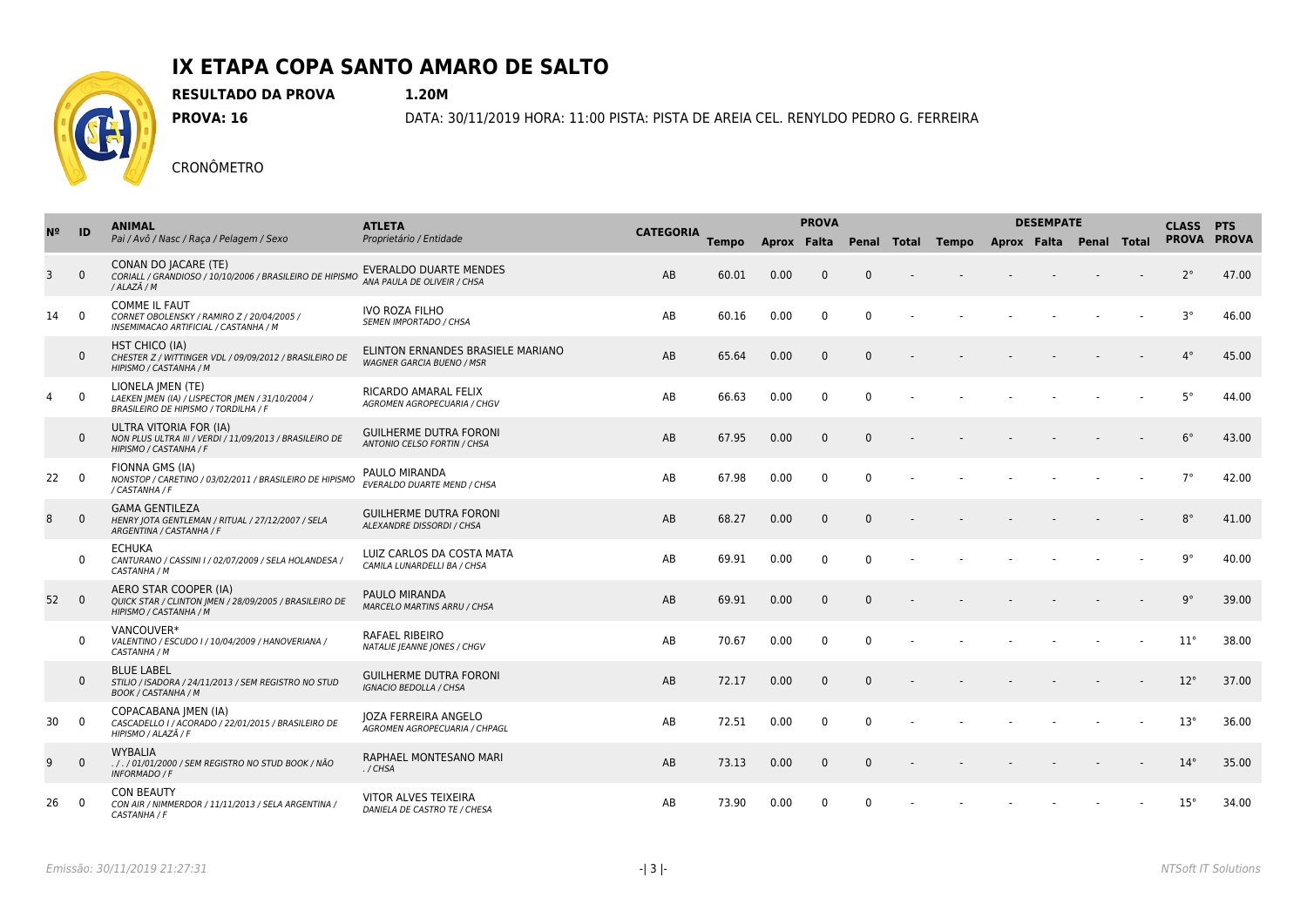

**RESULTADO DA PROVA 1.20M**

**PROVA: 16** DATA: 30/11/2019 HORA: 11:00 PISTA: PISTA DE AREIA CEL. RENYLDO PEDRO G. FERREIRA

|    | ID             | <b>ANIMAL</b><br>Pai / Avô / Nasc / Raça / Pelagem / Sexo                                                     | <b>ATLETA</b><br>Proprietário / Entidade                              |                  |              | <b>PROVA</b> |              |              |        |                                                       | <b>DESEMPATE</b> | <b>CLASS PTS</b> |              |             |
|----|----------------|---------------------------------------------------------------------------------------------------------------|-----------------------------------------------------------------------|------------------|--------------|--------------|--------------|--------------|--------|-------------------------------------------------------|------------------|------------------|--------------|-------------|
|    |                |                                                                                                               |                                                                       | <b>CATEGORIA</b> | <b>Tempo</b> |              |              |              |        | Aprox Falta Penal Total Tempo Aprox Falta Penal Total |                  |                  |              | PROVA PROVA |
| 3  | $\Omega$       | CONAN DO JACARE (TE)<br>CORIALL / GRANDIOSO / 10/10/2006 / BRASILEIRO DE HIPISMO<br>/ ALAZÃ / M               | EVERALDO DUARTE MENDES<br>ANA PAULA DE OLIVEIR / CHSA                 | AB               | 60.01        | 0.00         | $\Omega$     | $\mathbf{0}$ | $\sim$ |                                                       |                  |                  | $2^{\circ}$  | 47.00       |
| 14 | $\overline{0}$ | <b>COMME IL FAUT</b><br>CORNET OBOLENSKY / RAMIRO Z / 20/04/2005 /<br>INSEMIMACAO ARTIFICIAL / CASTANHA / M   | <b>IVO ROZA FILHO</b><br><b>SEMEN IMPORTADO / CHSA</b>                | AB               | 60.16        | 0.00         | $\mathbf{0}$ | $\Omega$     |        |                                                       |                  |                  | $3^{\circ}$  | 46.00       |
|    | $\mathbf{0}$   | <b>HST CHICO (IA)</b><br>CHESTER Z / WITTINGER VDL / 09/09/2012 / BRASILEIRO DE<br>HIPISMO / CASTANHA / M     | ELINTON ERNANDES BRASIELE MARIANO<br><b>WAGNER GARCIA BUENO / MSR</b> | AB               | 65.64        | 0.00         | $\mathbf{0}$ | $\Omega$     |        |                                                       |                  |                  | $4^{\circ}$  | 45.00       |
| 4  | $\mathbf 0$    | LIONELA JMEN (TE)<br>LAEKEN JMEN (IA) / LISPECTOR JMEN / 31/10/2004 /<br>BRASILEIRO DE HIPISMO / TORDILHA / F | RICARDO AMARAL FELIX<br>AGROMEN AGROPECUARIA / CHGV                   | AB               | 66.63        | 0.00         | $\mathbf{0}$ | $\Omega$     |        |                                                       |                  |                  | $5^{\circ}$  | 44.00       |
|    | $\mathbf{0}$   | ULTRA VITORIA FOR (IA)<br>NON PLUS ULTRA III / VERDI / 11/09/2013 / BRASILEIRO DE<br>HIPISMO / CASTANHA / F   | <b>GUILHERME DUTRA FORONI</b><br>ANTONIO CELSO FORTIN / CHSA          | AB               | 67.95        | 0.00         | $\mathbf{0}$ | $\Omega$     |        |                                                       |                  |                  | $6^{\circ}$  | 43.00       |
| 22 | $\overline{0}$ | FIONNA GMS (IA)<br>NONSTOP / CARETINO / 03/02/2011 / BRASILEIRO DE HIPISMO<br>/ CASTANHA / F                  | PAULO MIRANDA<br>EVERALDO DUARTE MEND / CHSA                          | AB               | 67.98        | 0.00         | $\mathbf{0}$ | $\mathbf{0}$ |        |                                                       |                  |                  | $7^\circ$    | 42.00       |
| 8  | $\mathbf{0}$   | <b>GAMA GENTILEZA</b><br>HENRY JOTA GENTLEMAN / RITUAL / 27/12/2007 / SELA<br>ARGENTINA / CASTANHA / F        | <b>GUILHERME DUTRA FORONI</b><br>ALEXANDRE DISSORDI / CHSA            | AB               | 68.27        | 0.00         | $\mathbf{0}$ | $\Omega$     |        |                                                       |                  |                  | $8^{\circ}$  | 41.00       |
|    | $\mathbf{0}$   | <b>ECHUKA</b><br>CANTURANO / CASSINI I / 02/07/2009 / SELA HOLANDESA /<br>CASTANHA / M                        | LUIZ CARLOS DA COSTA MATA<br>CAMILA LUNARDELLI BA / CHSA              | AB               | 69.91        | 0.00         | $\Omega$     | $\Omega$     |        |                                                       |                  |                  | $9^{\circ}$  | 40.00       |
| 52 | $\overline{0}$ | AERO STAR COOPER (IA)<br>QUICK STAR / CLINTON JMEN / 28/09/2005 / BRASILEIRO DE<br>HIPISMO / CASTANHA / M     | PAULO MIRANDA<br>MARCELO MARTINS ARRU / CHSA                          | AB               | 69.91        | 0.00         | $\mathbf{0}$ | $\Omega$     |        |                                                       |                  |                  | $9^{\circ}$  | 39.00       |
|    | $\mathbf{0}$   | VANCOUVER*<br>VALENTINO / ESCUDO I / 10/04/2009 / HANOVERIANA /<br>CASTANHA / M                               | RAFAEL RIBEIRO<br>NATALIE JEANNE JONES / CHGV                         | AB               | 70.67        | 0.00         | $\mathbf{0}$ | $\Omega$     |        |                                                       |                  |                  | $11^{\circ}$ | 38.00       |
|    | $\mathbf{0}$   | <b>BLUE LABEL</b><br>STILIO / ISADORA / 24/11/2013 / SEM REGISTRO NO STUD<br><b>BOOK / CASTANHA / M</b>       | <b>GUILHERME DUTRA FORONI</b><br><b>IGNACIO BEDOLLA / CHSA</b>        | AB               | 72.17        | 0.00         | $\mathbf{0}$ | $\Omega$     |        |                                                       |                  |                  | $12^{\circ}$ | 37.00       |
| 30 | $\overline{0}$ | COPACABANA   MEN (IA)<br>CASCADELLO I / ACORADO / 22/01/2015 / BRASILEIRO DE<br>HIPISMO / ALAZÃ / F           | JOZA FERREIRA ANGELO<br>AGROMEN AGROPECUARIA / CHPAGL                 | AB               | 72.51        | 0.00         | $\Omega$     | $\Omega$     |        |                                                       |                  |                  | $13^{\circ}$ | 36.00       |
| 9  | $\Omega$       | <b>WYBALIA</b><br>././01/01/2000 / SEM REGISTRO NO STUD BOOK / NÃO<br><b>INFORMADO / F</b>                    | RAPHAEL MONTESANO MARI<br>$./$ CHSA                                   | AB               | 73.13        | 0.00         | $\mathbf{0}$ | $\Omega$     |        |                                                       |                  |                  | $14^{\circ}$ | 35.00       |
| 26 | $\overline{0}$ | <b>CON BEAUTY</b><br>CON AIR / NIMMERDOR / 11/11/2013 / SELA ARGENTINA /<br>CASTANHA / F                      | VITOR ALVES TEIXEIRA<br>DANIELA DE CASTRO TE / CHESA                  | AB               | 73.90        | 0.00         | $\Omega$     | $\Omega$     |        |                                                       |                  |                  | $15^{\circ}$ | 34.00       |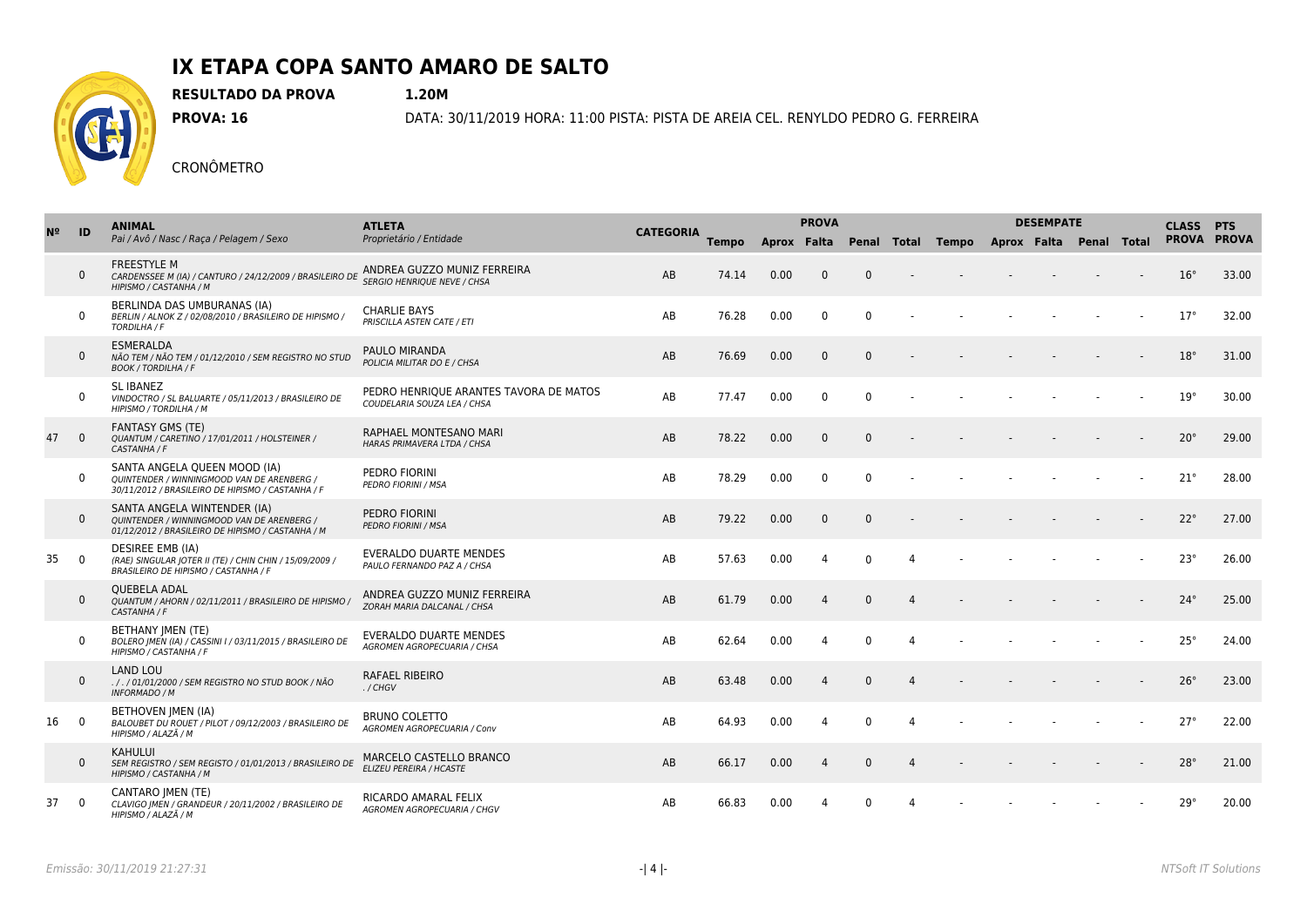

**RESULTADO DA PROVA 1.20M**

**PROVA: 16** DATA: 30/11/2019 HORA: 11:00 PISTA: PISTA DE AREIA CEL. RENYLDO PEDRO G. FERREIRA

| N <sub>2</sub> | ID             | <b>ANIMAL</b><br>Pai / Avô / Nasc / Raça / Pelagem / Sexo                                                                       | <b>ATLETA</b><br>Proprietário / Entidade                              |                  | <b>PROVA</b> |             |                |              |                | <b>DESEMPATE</b>              | <b>CLASS PTS</b> |  |  |              |       |
|----------------|----------------|---------------------------------------------------------------------------------------------------------------------------------|-----------------------------------------------------------------------|------------------|--------------|-------------|----------------|--------------|----------------|-------------------------------|------------------|--|--|--------------|-------|
|                |                |                                                                                                                                 |                                                                       | <b>CATEGORIA</b> | <b>Tempo</b> | Aprox Falta |                |              | Penal Total    | Tempo Aprox Falta Penal Total |                  |  |  | PROVA PROVA  |       |
|                | $\mathbf{0}$   | FREESTYLE M<br>CARDENSSEE M (IA) / CANTURO / 24/12/2009 / BRASILEIRO DE<br>HIPISMO / CASTANHA / M                               | ANDREA GUZZO MUNIZ FERREIRA<br><b>SERGIO HENRIOUE NEVE / CHSA</b>     | AB               | 74.14        | 0.00        | $\mathbf{0}$   | $\Omega$     |                |                               |                  |  |  | $16^{\circ}$ | 33.00 |
|                | $\mathbf 0$    | BERLINDA DAS UMBURANAS (IA)<br>BERLIN / ALNOK Z / 02/08/2010 / BRASILEIRO DE HIPISMO /<br>TORDILHA / F                          | <b>CHARLIE BAYS</b><br>PRISCILLA ASTEN CATE / ETI                     | AB               | 76.28        | 0.00        | $\mathbf{0}$   | $\Omega$     |                |                               |                  |  |  | $17^\circ$   | 32.00 |
|                | $\mathbf 0$    | <b>ESMERALDA</b><br>NÃO TEM / NÃO TEM / 01/12/2010 / SEM REGISTRO NO STUD<br><b>BOOK / TORDILHA / F</b>                         | PAULO MIRANDA<br>POLICIA MILITAR DO E / CHSA                          | AB               | 76.69        | 0.00        | $\mathbf{0}$   | $\Omega$     |                |                               |                  |  |  | $18^{\circ}$ | 31.00 |
|                | $\mathbf 0$    | <b>SL IBANEZ</b><br>VINDOCTRO / SL BALUARTE / 05/11/2013 / BRASILEIRO DE<br>HIPISMO / TORDILHA / M                              | PEDRO HENRIQUE ARANTES TAVORA DE MATOS<br>COUDELARIA SOUZA LEA / CHSA | AB               | 77.47        | 0.00        | $\mathbf{0}$   | $\Omega$     |                |                               |                  |  |  | 19°          | 30.00 |
| 47             | $\overline{0}$ | <b>FANTASY GMS (TE)</b><br>QUANTUM / CARETINO / 17/01/2011 / HOLSTEINER /<br>CASTANHA / F                                       | RAPHAEL MONTESANO MARI<br>HARAS PRIMAVERA LTDA / CHSA                 | AB               | 78.22        | 0.00        | $\mathbf{0}$   | $\Omega$     |                |                               |                  |  |  | $20^{\circ}$ | 29.00 |
|                | $\mathbf 0$    | SANTA ANGELA QUEEN MOOD (IA)<br>QUINTENDER / WINNINGMOOD VAN DE ARENBERG /<br>30/11/2012 / BRASILEIRO DE HIPISMO / CASTANHA / F | PEDRO FIORINI<br>PEDRO FIORINI / MSA                                  | AB               | 78.29        | 0.00        | $\mathbf 0$    | $\mathbf{0}$ |                |                               |                  |  |  | $21^{\circ}$ | 28.00 |
|                | $\mathbf{0}$   | SANTA ANGELA WINTENDER (IA)<br>OUINTENDER / WINNINGMOOD VAN DE ARENBERG /<br>01/12/2012 / BRASILEIRO DE HIPISMO / CASTANHA / M  | PEDRO FIORINI<br><b>PEDRO FIORINI / MSA</b>                           | AB               | 79.22        | 0.00        | $\mathbf{0}$   | $\Omega$     |                |                               |                  |  |  | $22^{\circ}$ | 27.00 |
| 35             | $\overline{0}$ | <b>DESIREE EMB (IA)</b><br>(RAE) SINGULAR JOTER II (TE) / CHIN CHIN / 15/09/2009 /<br>BRASILEIRO DE HIPISMO / CASTANHA / F      | <b>EVERALDO DUARTE MENDES</b><br>PAULO FERNANDO PAZ A / CHSA          | AB               | 57.63        | 0.00        | 4              | $\Omega$     | $\overline{a}$ |                               |                  |  |  | $23^\circ$   | 26.00 |
|                | $\mathbf{0}$   | <b>OUEBELA ADAL</b><br>OUANTUM / AHORN / 02/11/2011 / BRASILEIRO DE HIPISMO /<br>CASTANHA / F                                   | ANDREA GUZZO MUNIZ FERREIRA<br>ZORAH MARIA DALCANAL / CHSA            | AB               | 61.79        | 0.00        | 4              | $\Omega$     | $\Delta$       |                               |                  |  |  | $24^{\circ}$ | 25.00 |
|                | $\mathbf{0}$   | <b>BETHANY JMEN (TE)</b><br>BOLERO (MEN (IA) / CASSINI I / 03/11/2015 / BRASILEIRO DE<br>HIPISMO / CASTANHA / F                 | EVERALDO DUARTE MENDES<br>AGROMEN AGROPECUARIA / CHSA                 | AB               | 62.64        | 0.00        | 4              | $\Omega$     | $\overline{4}$ |                               |                  |  |  | $25^\circ$   | 24.00 |
|                | $\mathbf{0}$   | <b>LAND LOU</b><br>. / . / 01/01/2000 / SEM REGISTRO NO STUD BOOK / NÃO<br><b>INFORMADO / M</b>                                 | <b>RAFAEL RIBEIRO</b><br>./CHGV                                       | AB               | 63.48        | 0.00        | 4              | $\Omega$     | $\Delta$       |                               |                  |  |  | $26^\circ$   | 23.00 |
| 16             | $\overline{0}$ | BETHOVEN JMEN (IA)<br>BALOUBET DU ROUET / PILOT / 09/12/2003 / BRASILEIRO DE<br>HIPISMO / ALAZÃ / M                             | <b>BRUNO COLETTO</b><br><b>AGROMEN AGROPECUARIA / Conv</b>            | AB               | 64.93        | 0.00        | 4              | $\Omega$     | $\overline{4}$ |                               |                  |  |  | $27^\circ$   | 22.00 |
|                | $\mathbf{0}$   | <b>KAHULUI</b><br>SEM REGISTRO / SEM REGISTO / 01/01/2013 / BRASILEIRO DE<br>HIPISMO / CASTANHA / M                             | MARCELO CASTELLO BRANCO<br>ELIZEU PEREIRA / HCASTE                    | AB               | 66.17        | 0.00        | $\overline{a}$ | $\Omega$     | $\Delta$       |                               |                  |  |  | $28^\circ$   | 21.00 |
| 37             | $\overline{0}$ | <b>CANTARO IMEN (TE)</b><br>CLAVIGO   MEN / GRANDEUR / 20/11/2002 / BRASILEIRO DE<br>HIPISMO / ALAZÃ / M                        | RICARDO AMARAL FELIX<br>AGROMEN AGROPECUARIA / CHGV                   | AB               | 66.83        | 0.00        | $\Delta$       | $\Omega$     |                |                               |                  |  |  | 29°          | 20.00 |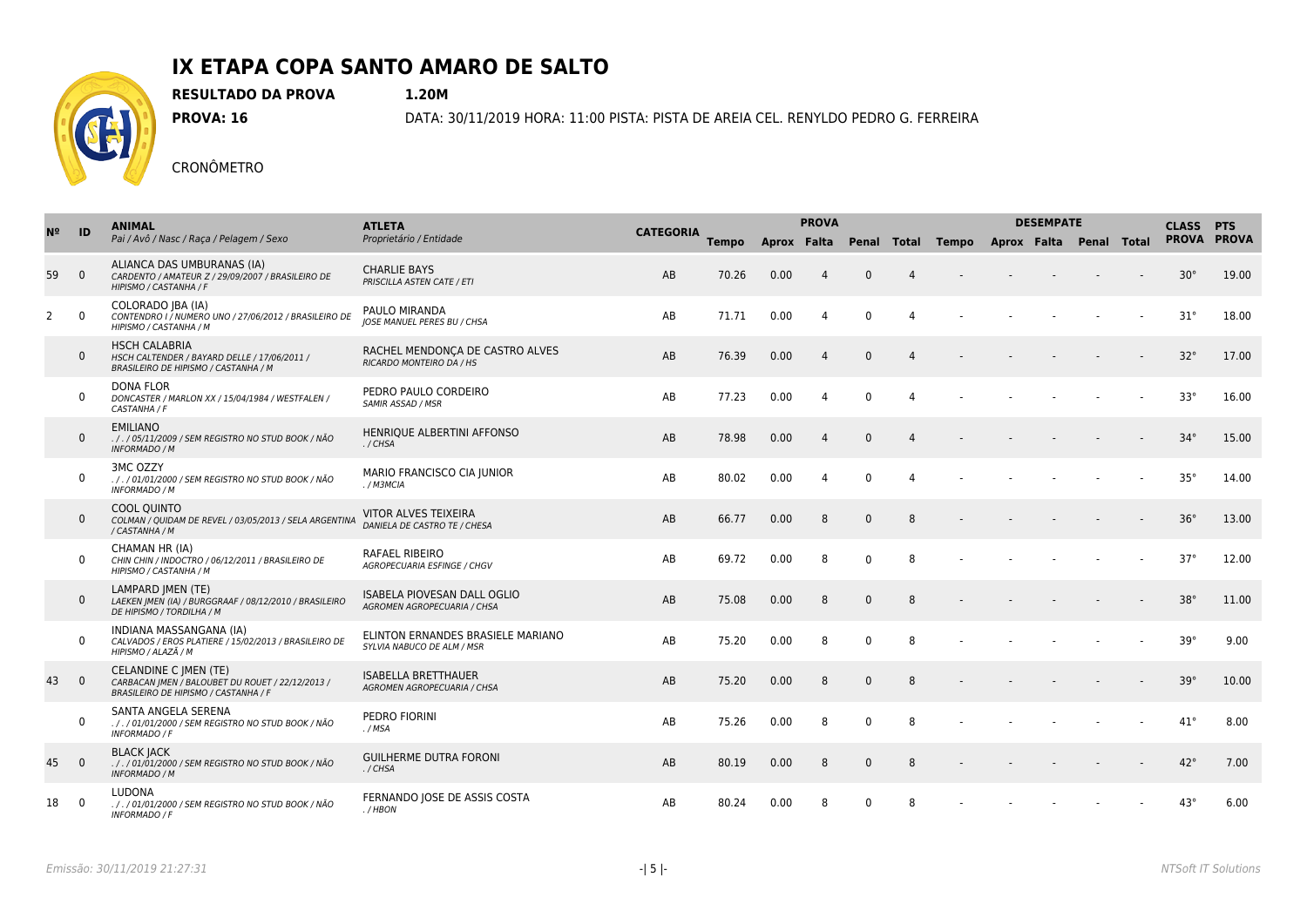

**RESULTADO DA PROVA 1.20M**

**PROVA: 16** DATA: 30/11/2019 HORA: 11:00 PISTA: PISTA DE AREIA CEL. RENYLDO PEDRO G. FERREIRA

| N <sup>2</sup> | ID             | <b>ANIMAL</b>                                                                                                            | <b>ATLETA</b><br>Proprietário / Entidade                          |                  |              | <b>PROVA</b> |                |              |                |                                           | <b>DESEMPATE</b> | <b>CLASS PTS</b> |              |       |
|----------------|----------------|--------------------------------------------------------------------------------------------------------------------------|-------------------------------------------------------------------|------------------|--------------|--------------|----------------|--------------|----------------|-------------------------------------------|------------------|------------------|--------------|-------|
|                |                | Pai / Avô / Nasc / Raça / Pelagem / Sexo                                                                                 |                                                                   | <b>CATEGORIA</b> | <b>Tempo</b> | Aprox Falta  |                |              |                | Penal Total Tempo Aprox Falta Penal Total |                  |                  | PROVA PROVA  |       |
| 59             | $\overline{0}$ | ALIANCA DAS UMBURANAS (IA)<br>CARDENTO / AMATEUR Z / 29/09/2007 / BRASILEIRO DE<br>HIPISMO / CASTANHA / F                | <b>CHARLIE BAYS</b><br>PRISCILLA ASTEN CATE / ETI                 | AB               | 70.26        | 0.00         | $\overline{4}$ | $\Omega$     | $\Delta$       |                                           |                  |                  | $30^\circ$   | 19.00 |
| $\overline{2}$ | $\overline{0}$ | COLORADO JBA (IA)<br>CONTENDRO I / NUMERO UNO / 27/06/2012 / BRASILEIRO DE<br>HIPISMO / CASTANHA / M                     | PAULO MIRANDA<br><b>IOSE MANUEL PERES BU / CHSA</b>               | AB               | 71.71        | 0.00         | 4              | $\Omega$     | $\Delta$       |                                           |                  |                  | $31^\circ$   | 18.00 |
|                | $\mathbf 0$    | <b>HSCH CALABRIA</b><br>HSCH CALTENDER / BAYARD DELLE / 17/06/2011 /<br>BRASILEIRO DE HIPISMO / CASTANHA / M             | RACHEL MENDONÇA DE CASTRO ALVES<br>RICARDO MONTEIRO DA / HS       | AB               | 76.39        | 0.00         | 4              | $\mathbf{0}$ | $\Delta$       |                                           |                  |                  | $32^\circ$   | 17.00 |
|                | $\mathbf 0$    | <b>DONA FLOR</b><br>DONCASTER / MARLON XX / 15/04/1984 / WESTFALEN /<br>CASTANHA / F                                     | PEDRO PAULO CORDEIRO<br>SAMIR ASSAD / MSR                         | AB               | 77.23        | 0.00         | 4              | $\Omega$     | $\overline{4}$ |                                           |                  |                  | $33^\circ$   | 16.00 |
|                | $\mathbf{0}$   | <b>EMILIANO</b><br>. / . / 05/11/2009 / SEM REGISTRO NO STUD BOOK / NÃO<br><b>INFORMADO / M</b>                          | HENRIQUE ALBERTINI AFFONSO<br>./CHSA                              | AB               | 78.98        | 0.00         | $\overline{4}$ | $\Omega$     | $\Delta$       |                                           |                  |                  | $34^\circ$   | 15.00 |
|                | $\mathbf 0$    | 3MC OZZY<br>././01/01/2000 / SEM REGISTRO NO STUD BOOK / NÃO<br>INFORMADO / M                                            | MARIO FRANCISCO CIA JUNIOR<br>./M3MCIA                            | AB               | 80.02        | 0.00         | 4              | $\Omega$     | $\overline{4}$ |                                           |                  |                  | $35^\circ$   | 14.00 |
|                | $\mathbf{0}$   | <b>COOL OUINTO</b><br>COLMAN / OUIDAM DE REVEL / 03/05/2013 / SELA ARGENTINA<br>/ CASTANHA / M                           | VITOR ALVES TEIXEIRA<br>DANIELA DE CASTRO TE / CHESA              | AB               | 66.77        | 0.00         | 8              | $\Omega$     | 8              |                                           |                  |                  | $36^\circ$   | 13.00 |
|                | $\mathbf 0$    | CHAMAN HR (IA)<br>CHIN CHIN / INDOCTRO / 06/12/2011 / BRASILEIRO DE<br>HIPISMO / CASTANHA / M                            | RAFAEL RIBEIRO<br>AGROPECUARIA ESFINGE / CHGV                     | AB               | 69.72        | 0.00         | 8              | $\Omega$     | 8              |                                           |                  |                  | $37^\circ$   | 12.00 |
|                | $\mathbf{0}$   | <b>LAMPARD IMEN (TE)</b><br>LAEKEN JMEN (IA) / BURGGRAAF / 08/12/2010 / BRASILEIRO<br>DE HIPISMO / TORDILHA / M          | <b>ISABELA PIOVESAN DALL OGLIO</b><br>AGROMEN AGROPECUARIA / CHSA | AB               | 75.08        | 0.00         | 8              | $\Omega$     | 8              |                                           |                  |                  | $38^\circ$   | 11.00 |
|                | $\mathbf 0$    | INDIANA MASSANGANA (IA)<br>CALVADOS / EROS PLATIERE / 15/02/2013 / BRASILEIRO DE<br>HIPISMO / ALAZÃ / M                  | ELINTON ERNANDES BRASIELE MARIANO<br>SYLVIA NABUCO DE ALM / MSR   | AB               | 75.20        | 0.00         | 8              | $\Omega$     | 8              |                                           |                  |                  | $39^\circ$   | 9.00  |
| 43             | $\overline{0}$ | <b>CELANDINE C JMEN (TE)</b><br>CARBACAN JMEN / BALOUBET DU ROUET / 22/12/2013 /<br>BRASILEIRO DE HIPISMO / CASTANHA / F | <b>ISABELLA BRETTHAUER</b><br><b>AGROMEN AGROPECUARIA / CHSA</b>  | AB               | 75.20        | 0.00         | 8              | $\Omega$     | 8              |                                           |                  |                  | $39^\circ$   | 10.00 |
|                | $\mathbf 0$    | SANTA ANGELA SERENA<br>././01/01/2000 / SEM REGISTRO NO STUD BOOK / NÃO<br><b>INFORMADO / F</b>                          | PEDRO FIORINI<br>. / MSA                                          | AB               | 75.26        | 0.00         | 8              | $\Omega$     | 8              |                                           |                  |                  | $41^{\circ}$ | 8.00  |
| 45             | $\overline{0}$ | <b>BLACK JACK</b><br>././01/01/2000 / SEM REGISTRO NO STUD BOOK / NÃO<br><b>INFORMADO / M</b>                            | <b>GUILHERME DUTRA FORONI</b><br>./CHSA                           | AB               | 80.19        | 0.00         | 8              | $\Omega$     | 8              |                                           |                  |                  | $42^{\circ}$ | 7.00  |
| 18             | $\mathbf 0$    | <b>LUDONA</b><br>././01/01/2000 / SEM REGISTRO NO STUD BOOK / NÃO<br><b>INFORMADO / F</b>                                | FERNANDO JOSE DE ASSIS COSTA<br>$. / H$ BON                       | AB               | 80.24        | 0.00         | 8              | $\Omega$     | 8              |                                           |                  |                  | $43^\circ$   | 6.00  |